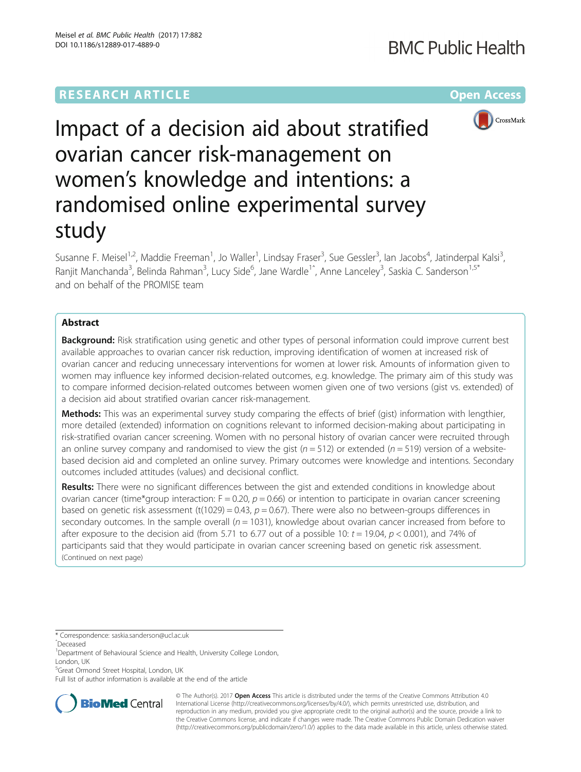# **RESEARCH ARTICLE Example 2014 12:30 The Company Access** (RESEARCH ARTICLE



Impact of a decision aid about stratified ovarian cancer risk-management on women's knowledge and intentions: a randomised online experimental survey study

Susanne F. Meisel<sup>1,2</sup>, Maddie Freeman<sup>1</sup>, Jo Waller<sup>1</sup>, Lindsay Fraser<sup>3</sup>, Sue Gessler<sup>3</sup>, Ian Jacobs<sup>4</sup>, Jatinderpal Kalsi<sup>3</sup> , Ranjit Manchanda<sup>3</sup>, Belinda Rahman<sup>3</sup>, Lucy Side<sup>6</sup>, Jane Wardle<sup>1^</sup>, Anne Lanceley<sup>3</sup>, Saskia C. Sanderson<sup>1,5\*</sup> and on behalf of the PROMISE team

# Abstract

Background: Risk stratification using genetic and other types of personal information could improve current best available approaches to ovarian cancer risk reduction, improving identification of women at increased risk of ovarian cancer and reducing unnecessary interventions for women at lower risk. Amounts of information given to women may influence key informed decision-related outcomes, e.g. knowledge. The primary aim of this study was to compare informed decision-related outcomes between women given one of two versions (gist vs. extended) of a decision aid about stratified ovarian cancer risk-management.

**Methods:** This was an experimental survey study comparing the effects of brief (gist) information with lengthier, more detailed (extended) information on cognitions relevant to informed decision-making about participating in risk-stratified ovarian cancer screening. Women with no personal history of ovarian cancer were recruited through an online survey company and randomised to view the gist ( $n = 512$ ) or extended ( $n = 519$ ) version of a websitebased decision aid and completed an online survey. Primary outcomes were knowledge and intentions. Secondary outcomes included attitudes (values) and decisional conflict.

Results: There were no significant differences between the gist and extended conditions in knowledge about ovarian cancer (time\*group interaction:  $F = 0.20$ ,  $p = 0.66$ ) or intention to participate in ovarian cancer screening based on genetic risk assessment (t(1029) = 0.43,  $p = 0.67$ ). There were also no between-groups differences in secondary outcomes. In the sample overall ( $n = 1031$ ), knowledge about ovarian cancer increased from before to after exposure to the decision aid (from 5.71 to 6.77 out of a possible 10:  $t = 19.04$ ,  $p < 0.001$ ), and 74% of participants said that they would participate in ovarian cancer screening based on genetic risk assessment. (Continued on next page)

Full list of author information is available at the end of the article



© The Author(s). 2017 **Open Access** This article is distributed under the terms of the Creative Commons Attribution 4.0 International License [\(http://creativecommons.org/licenses/by/4.0/](http://creativecommons.org/licenses/by/4.0/)), which permits unrestricted use, distribution, and reproduction in any medium, provided you give appropriate credit to the original author(s) and the source, provide a link to the Creative Commons license, and indicate if changes were made. The Creative Commons Public Domain Dedication waiver [\(http://creativecommons.org/publicdomain/zero/1.0/](http://creativecommons.org/publicdomain/zero/1.0/)) applies to the data made available in this article, unless otherwise stated.

<sup>\*</sup> Correspondence: [saskia.sanderson@ucl.ac.uk](mailto:saskia.sanderson@ucl.ac.uk) <sup>ˆ</sup>Deceased

<sup>&</sup>lt;sup>1</sup>Department of Behavioural Science and Health, University College London, London, UK

<sup>&</sup>lt;sup>5</sup>Great Ormond Street Hospital, London, UK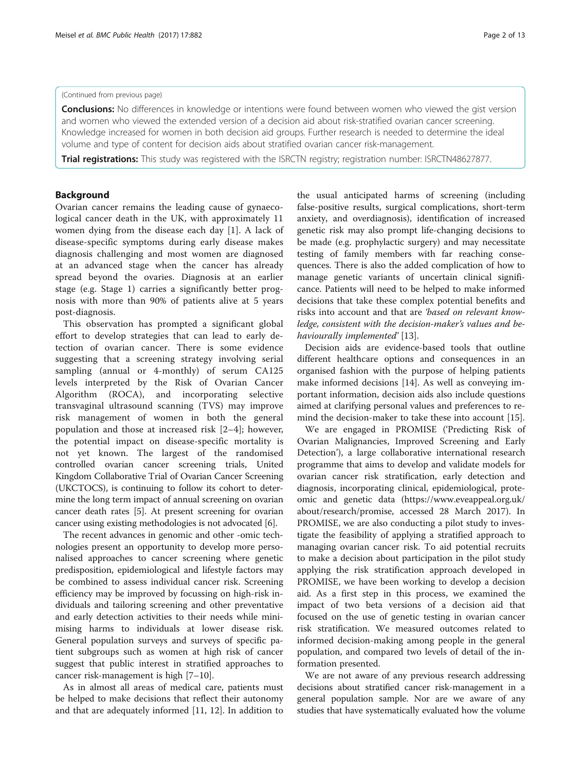# (Continued from previous page)

**Conclusions:** No differences in knowledge or intentions were found between women who viewed the gist version and women who viewed the extended version of a decision aid about risk-stratified ovarian cancer screening. Knowledge increased for women in both decision aid groups. Further research is needed to determine the ideal volume and type of content for decision aids about stratified ovarian cancer risk-management.

Trial registrations: This study was registered with the ISRCTN registry; registration number: [ISRCTN48627877](http://www.isrctn.com/ISRCTN48627877).

# Background

Ovarian cancer remains the leading cause of gynaecological cancer death in the UK, with approximately 11 women dying from the disease each day [[1\]](#page-11-0). A lack of disease-specific symptoms during early disease makes diagnosis challenging and most women are diagnosed at an advanced stage when the cancer has already spread beyond the ovaries. Diagnosis at an earlier stage (e.g. Stage 1) carries a significantly better prognosis with more than 90% of patients alive at 5 years post-diagnosis.

This observation has prompted a significant global effort to develop strategies that can lead to early detection of ovarian cancer. There is some evidence suggesting that a screening strategy involving serial sampling (annual or 4-monthly) of serum CA125 levels interpreted by the Risk of Ovarian Cancer Algorithm (ROCA), and incorporating selective transvaginal ultrasound scanning (TVS) may improve risk management of women in both the general population and those at increased risk [[2](#page-11-0)–[4\]](#page-11-0); however, the potential impact on disease-specific mortality is not yet known. The largest of the randomised controlled ovarian cancer screening trials, United Kingdom Collaborative Trial of Ovarian Cancer Screening (UKCTOCS), is continuing to follow its cohort to determine the long term impact of annual screening on ovarian cancer death rates [\[5](#page-11-0)]. At present screening for ovarian cancer using existing methodologies is not advocated [\[6](#page-11-0)].

The recent advances in genomic and other -omic technologies present an opportunity to develop more personalised approaches to cancer screening where genetic predisposition, epidemiological and lifestyle factors may be combined to assess individual cancer risk. Screening efficiency may be improved by focussing on high-risk individuals and tailoring screening and other preventative and early detection activities to their needs while minimising harms to individuals at lower disease risk. General population surveys and surveys of specific patient subgroups such as women at high risk of cancer suggest that public interest in stratified approaches to cancer risk-management is high [\[7](#page-11-0)–[10](#page-11-0)].

As in almost all areas of medical care, patients must be helped to make decisions that reflect their autonomy and that are adequately informed [\[11, 12](#page-11-0)]. In addition to the usual anticipated harms of screening (including false-positive results, surgical complications, short-term anxiety, and overdiagnosis), identification of increased genetic risk may also prompt life-changing decisions to be made (e.g. prophylactic surgery) and may necessitate testing of family members with far reaching consequences. There is also the added complication of how to manage genetic variants of uncertain clinical significance. Patients will need to be helped to make informed decisions that take these complex potential benefits and risks into account and that are 'based on relevant knowledge, consistent with the decision-maker's values and be-haviourally implemented' [\[13](#page-11-0)].

Decision aids are evidence-based tools that outline different healthcare options and consequences in an organised fashion with the purpose of helping patients make informed decisions [\[14\]](#page-11-0). As well as conveying important information, decision aids also include questions aimed at clarifying personal values and preferences to remind the decision-maker to take these into account [\[15\]](#page-11-0).

We are engaged in PROMISE ('Predicting Risk of Ovarian Malignancies, Improved Screening and Early Detection'), a large collaborative international research programme that aims to develop and validate models for ovarian cancer risk stratification, early detection and diagnosis, incorporating clinical, epidemiological, proteomic and genetic data ([https://www.eveappeal.org.uk/](https://www.eveappeal.org.uk/about/research/promise) [about/research/promise,](https://www.eveappeal.org.uk/about/research/promise) accessed 28 March 2017). In PROMISE, we are also conducting a pilot study to investigate the feasibility of applying a stratified approach to managing ovarian cancer risk. To aid potential recruits to make a decision about participation in the pilot study applying the risk stratification approach developed in PROMISE, we have been working to develop a decision aid. As a first step in this process, we examined the impact of two beta versions of a decision aid that focused on the use of genetic testing in ovarian cancer risk stratification. We measured outcomes related to informed decision-making among people in the general population, and compared two levels of detail of the information presented.

We are not aware of any previous research addressing decisions about stratified cancer risk-management in a general population sample. Nor are we aware of any studies that have systematically evaluated how the volume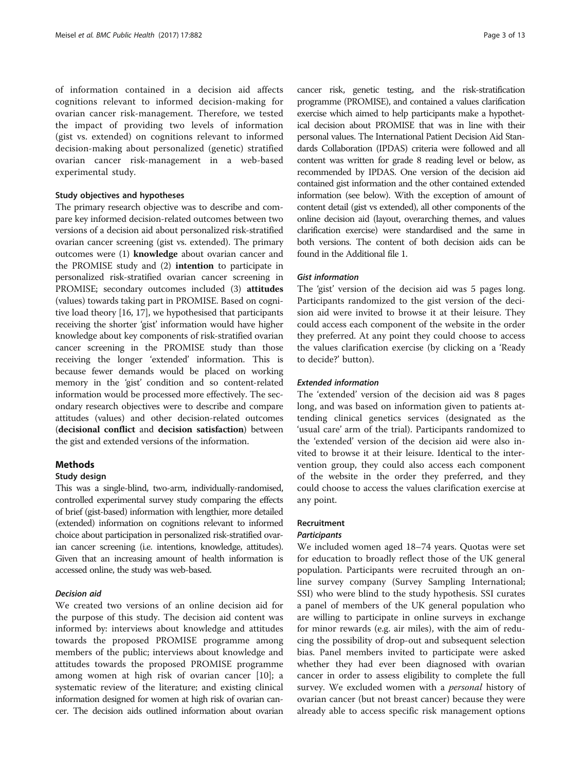of information contained in a decision aid affects cognitions relevant to informed decision-making for ovarian cancer risk-management. Therefore, we tested the impact of providing two levels of information (gist vs. extended) on cognitions relevant to informed decision-making about personalized (genetic) stratified ovarian cancer risk-management in a web-based experimental study.

# Study objectives and hypotheses

The primary research objective was to describe and compare key informed decision-related outcomes between two versions of a decision aid about personalized risk-stratified ovarian cancer screening (gist vs. extended). The primary outcomes were (1) knowledge about ovarian cancer and the PROMISE study and (2) intention to participate in personalized risk-stratified ovarian cancer screening in PROMISE; secondary outcomes included (3) attitudes (values) towards taking part in PROMISE. Based on cognitive load theory [[16](#page-11-0), [17\]](#page-11-0), we hypothesised that participants receiving the shorter 'gist' information would have higher knowledge about key components of risk-stratified ovarian cancer screening in the PROMISE study than those receiving the longer 'extended' information. This is because fewer demands would be placed on working memory in the 'gist' condition and so content-related information would be processed more effectively. The secondary research objectives were to describe and compare attitudes (values) and other decision-related outcomes (decisional conflict and decision satisfaction) between the gist and extended versions of the information.

# Methods

### Study design

This was a single-blind, two-arm, individually-randomised, controlled experimental survey study comparing the effects of brief (gist-based) information with lengthier, more detailed (extended) information on cognitions relevant to informed choice about participation in personalized risk-stratified ovarian cancer screening (i.e. intentions, knowledge, attitudes). Given that an increasing amount of health information is accessed online, the study was web-based.

# Decision aid

We created two versions of an online decision aid for the purpose of this study. The decision aid content was informed by: interviews about knowledge and attitudes towards the proposed PROMISE programme among members of the public; interviews about knowledge and attitudes towards the proposed PROMISE programme among women at high risk of ovarian cancer [[10](#page-11-0)]; a systematic review of the literature; and existing clinical information designed for women at high risk of ovarian cancer. The decision aids outlined information about ovarian cancer risk, genetic testing, and the risk-stratification programme (PROMISE), and contained a values clarification exercise which aimed to help participants make a hypothetical decision about PROMISE that was in line with their personal values. The International Patient Decision Aid Standards Collaboration (IPDAS) criteria were followed and all content was written for grade 8 reading level or below, as recommended by IPDAS. One version of the decision aid contained gist information and the other contained extended information (see below). With the exception of amount of content detail (gist vs extended), all other components of the online decision aid (layout, overarching themes, and values clarification exercise) were standardised and the same in both versions. The content of both decision aids can be found in the Additional file [1.](#page-11-0)

# Gist information

The 'gist' version of the decision aid was 5 pages long. Participants randomized to the gist version of the decision aid were invited to browse it at their leisure. They could access each component of the website in the order they preferred. At any point they could choose to access the values clarification exercise (by clicking on a 'Ready to decide?' button).

# Extended information

The 'extended' version of the decision aid was 8 pages long, and was based on information given to patients attending clinical genetics services (designated as the 'usual care' arm of the trial). Participants randomized to the 'extended' version of the decision aid were also invited to browse it at their leisure. Identical to the intervention group, they could also access each component of the website in the order they preferred, and they could choose to access the values clarification exercise at any point.

# Recruitment

### **Participants**

We included women aged 18–74 years. Quotas were set for education to broadly reflect those of the UK general population. Participants were recruited through an online survey company (Survey Sampling International; SSI) who were blind to the study hypothesis. SSI curates a panel of members of the UK general population who are willing to participate in online surveys in exchange for minor rewards (e.g. air miles), with the aim of reducing the possibility of drop-out and subsequent selection bias. Panel members invited to participate were asked whether they had ever been diagnosed with ovarian cancer in order to assess eligibility to complete the full survey. We excluded women with a *personal* history of ovarian cancer (but not breast cancer) because they were already able to access specific risk management options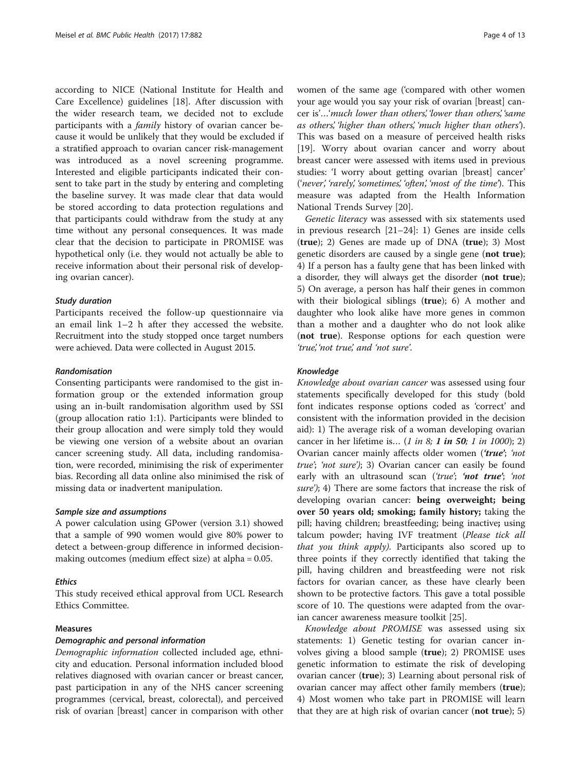according to NICE (National Institute for Health and Care Excellence) guidelines [\[18\]](#page-11-0). After discussion with the wider research team, we decided not to exclude participants with a family history of ovarian cancer because it would be unlikely that they would be excluded if a stratified approach to ovarian cancer risk-management was introduced as a novel screening programme. Interested and eligible participants indicated their consent to take part in the study by entering and completing the baseline survey. It was made clear that data would be stored according to data protection regulations and that participants could withdraw from the study at any time without any personal consequences. It was made clear that the decision to participate in PROMISE was hypothetical only (i.e. they would not actually be able to receive information about their personal risk of developing ovarian cancer).

### Study duration

Participants received the follow-up questionnaire via an email link 1–2 h after they accessed the website. Recruitment into the study stopped once target numbers were achieved. Data were collected in August 2015.

### Randomisation

Consenting participants were randomised to the gist information group or the extended information group using an in-built randomisation algorithm used by SSI (group allocation ratio 1:1). Participants were blinded to their group allocation and were simply told they would be viewing one version of a website about an ovarian cancer screening study. All data, including randomisation, were recorded, minimising the risk of experimenter bias. Recording all data online also minimised the risk of missing data or inadvertent manipulation.

# Sample size and assumptions

A power calculation using GPower (version 3.1) showed that a sample of 990 women would give 80% power to detect a between-group difference in informed decisionmaking outcomes (medium effect size) at alpha = 0.05.

# Ethics

This study received ethical approval from UCL Research Ethics Committee.

# Measures

# Demographic and personal information

Demographic information collected included age, ethnicity and education. Personal information included blood relatives diagnosed with ovarian cancer or breast cancer, past participation in any of the NHS cancer screening programmes (cervical, breast, colorectal), and perceived risk of ovarian [breast] cancer in comparison with other women of the same age ('compared with other women your age would you say your risk of ovarian [breast] cancer is'…'much lower than others', 'lower than others', 'same as others', 'higher than others', 'much higher than others'). This was based on a measure of perceived health risks [[19\]](#page-11-0). Worry about ovarian cancer and worry about breast cancer were assessed with items used in previous studies: 'I worry about getting ovarian [breast] cancer' ('never', 'rarely', 'sometimes', 'often', 'most of the time'). This measure was adapted from the Health Information National Trends Survey [\[20](#page-11-0)].

Genetic literacy was assessed with six statements used in previous research [[21](#page-12-0)–[24](#page-12-0)]: 1) Genes are inside cells (true); 2) Genes are made up of DNA (true); 3) Most genetic disorders are caused by a single gene (not true); 4) If a person has a faulty gene that has been linked with a disorder, they will always get the disorder (not true); 5) On average, a person has half their genes in common with their biological siblings (true); 6) A mother and daughter who look alike have more genes in common than a mother and a daughter who do not look alike (not true). Response options for each question were 'true', 'not true', and 'not sure'.

# Knowledge

Knowledge about ovarian cancer was assessed using four statements specifically developed for this study (bold font indicates response options coded as 'correct' and consistent with the information provided in the decision aid): 1) The average risk of a woman developing ovarian cancer in her lifetime is... (1 in 8; 1 in 50; 1 in 1000); 2) Ovarian cancer mainly affects older women ('true'; 'not true'; 'not sure'); 3) Ovarian cancer can easily be found early with an ultrasound scan ('true'; 'not true'; 'not sure'); 4) There are some factors that increase the risk of developing ovarian cancer: being overweight; being over 50 years old; smoking; family history; taking the pill; having children; breastfeeding; being inactive; using talcum powder; having IVF treatment (Please tick all that you think apply). Participants also scored up to three points if they correctly identified that taking the pill, having children and breastfeeding were not risk factors for ovarian cancer, as these have clearly been shown to be protective factors. This gave a total possible score of 10. The questions were adapted from the ovarian cancer awareness measure toolkit [[25](#page-12-0)].

Knowledge about PROMISE was assessed using six statements: 1) Genetic testing for ovarian cancer involves giving a blood sample (true); 2) PROMISE uses genetic information to estimate the risk of developing ovarian cancer (true); 3) Learning about personal risk of ovarian cancer may affect other family members (true); 4) Most women who take part in PROMISE will learn that they are at high risk of ovarian cancer (not true); 5)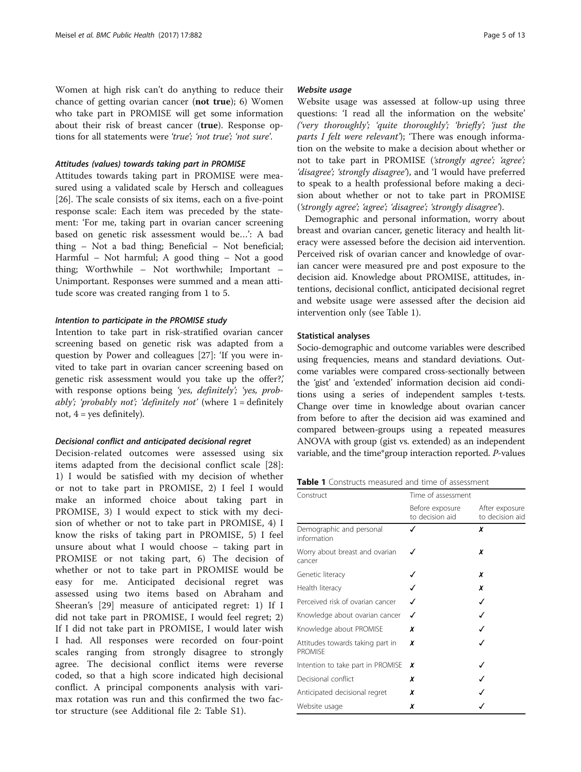Women at high risk can't do anything to reduce their chance of getting ovarian cancer (not true); 6) Women who take part in PROMISE will get some information about their risk of breast cancer (true). Response options for all statements were 'true'; 'not true'; 'not sure'.

# Attitudes (values) towards taking part in PROMISE

Attitudes towards taking part in PROMISE were measured using a validated scale by Hersch and colleagues [[26\]](#page-12-0). The scale consists of six items, each on a five-point response scale: Each item was preceded by the statement: 'For me, taking part in ovarian cancer screening based on genetic risk assessment would be…': A bad thing – Not a bad thing; Beneficial – Not beneficial; Harmful – Not harmful; A good thing – Not a good thing; Worthwhile – Not worthwhile; Important – Unimportant. Responses were summed and a mean attitude score was created ranging from 1 to 5.

# Intention to participate in the PROMISE study

Intention to take part in risk-stratified ovarian cancer screening based on genetic risk was adapted from a question by Power and colleagues [\[27\]](#page-12-0): 'If you were invited to take part in ovarian cancer screening based on genetic risk assessment would you take up the offer?', with response options being 'yes, definitely'; 'yes, probably'; 'probably not'; 'definitely not' (where  $1 =$  definitely not,  $4 = yes$  definitely).

### Decisional conflict and anticipated decisional regret

Decision-related outcomes were assessed using six items adapted from the decisional conflict scale [[28](#page-12-0)]: 1) I would be satisfied with my decision of whether or not to take part in PROMISE, 2) I feel I would make an informed choice about taking part in PROMISE, 3) I would expect to stick with my decision of whether or not to take part in PROMISE, 4) I know the risks of taking part in PROMISE, 5) I feel unsure about what I would choose – taking part in PROMISE or not taking part, 6) The decision of whether or not to take part in PROMISE would be easy for me. Anticipated decisional regret was assessed using two items based on Abraham and Sheeran's [\[29](#page-12-0)] measure of anticipated regret: 1) If I did not take part in PROMISE, I would feel regret; 2) If I did not take part in PROMISE, I would later wish I had. All responses were recorded on four-point scales ranging from strongly disagree to strongly agree. The decisional conflict items were reverse coded, so that a high score indicated high decisional conflict. A principal components analysis with varimax rotation was run and this confirmed the two factor structure (see Additional file [2](#page-11-0): Table S1).

#### Website usage

Website usage was assessed at follow-up using three questions: 'I read all the information on the website' ('very thoroughly'; 'quite thoroughly'; 'briefly'; 'just the parts I felt were relevant'); 'There was enough information on the website to make a decision about whether or not to take part in PROMISE ('strongly agree'; 'agree'; 'disagree'; 'strongly disagree'), and 'I would have preferred to speak to a health professional before making a decision about whether or not to take part in PROMISE ('strongly agree'; 'agree'; 'disagree'; 'strongly disagree').

Demographic and personal information, worry about breast and ovarian cancer, genetic literacy and health literacy were assessed before the decision aid intervention. Perceived risk of ovarian cancer and knowledge of ovarian cancer were measured pre and post exposure to the decision aid. Knowledge about PROMISE, attitudes, intentions, decisional conflict, anticipated decisional regret and website usage were assessed after the decision aid intervention only (see Table 1).

# Statistical analyses

Socio-demographic and outcome variables were described using frequencies, means and standard deviations. Outcome variables were compared cross-sectionally between the 'gist' and 'extended' information decision aid conditions using a series of independent samples t-tests. Change over time in knowledge about ovarian cancer from before to after the decision aid was examined and compared between-groups using a repeated measures ANOVA with group (gist vs. extended) as an independent variable, and the time\*group interaction reported. P-values

| <b>Table 1</b> Constructs measured and time of assessment |  |
|-----------------------------------------------------------|--|
|                                                           |  |

| Construct                                          | Time of assessment                 |                                   |
|----------------------------------------------------|------------------------------------|-----------------------------------|
|                                                    | Before exposure<br>to decision aid | After exposure<br>to decision aid |
| Demographic and personal<br>information            | J                                  | x                                 |
| Worry about breast and ovarian<br>cancer           |                                    | x                                 |
| Genetic literacy                                   |                                    | x                                 |
| Health literacy                                    |                                    | x                                 |
| Perceived risk of ovarian cancer                   | J                                  |                                   |
| Knowledge about ovarian cancer                     | ℐ                                  |                                   |
| Knowledge about PROMISE                            | x                                  |                                   |
| Attitudes towards taking part in<br><b>PROMISE</b> | x                                  |                                   |
| Intention to take part in PROMISE                  | x                                  |                                   |
| Decisional conflict                                | x                                  |                                   |
| Anticipated decisional regret                      | x                                  |                                   |
| Website usage                                      | x                                  |                                   |
|                                                    |                                    |                                   |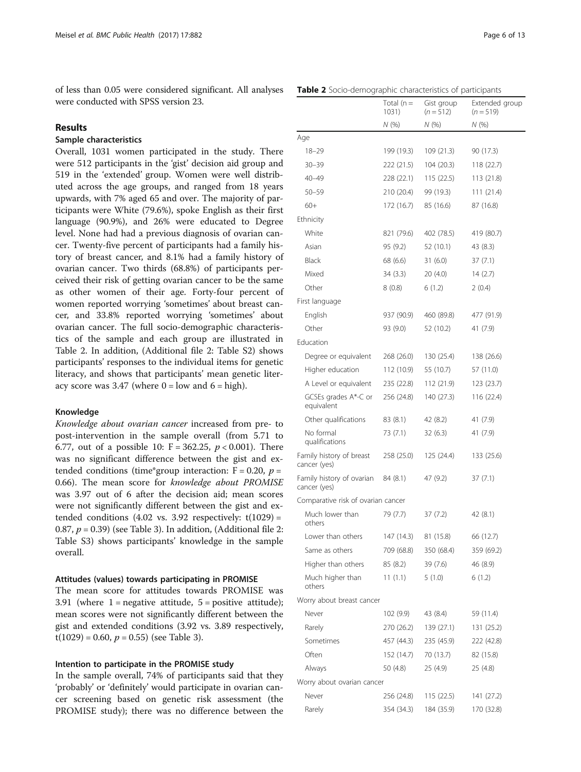of less than 0.05 were considered significant. All analyses were conducted with SPSS version 23.

# Results

# Sample characteristics

Overall, 1031 women participated in the study. There were 512 participants in the 'gist' decision aid group and 519 in the 'extended' group. Women were well distributed across the age groups, and ranged from 18 years upwards, with 7% aged 65 and over. The majority of participants were White (79.6%), spoke English as their first language (90.9%), and 26% were educated to Degree level. None had had a previous diagnosis of ovarian cancer. Twenty-five percent of participants had a family history of breast cancer, and 8.1% had a family history of ovarian cancer. Two thirds (68.8%) of participants perceived their risk of getting ovarian cancer to be the same as other women of their age. Forty-four percent of women reported worrying 'sometimes' about breast cancer, and 33.8% reported worrying 'sometimes' about ovarian cancer. The full socio-demographic characteristics of the sample and each group are illustrated in Table 2. In addition, (Additional file [2:](#page-11-0) Table S2) shows participants' responses to the individual items for genetic literacy, and shows that participants' mean genetic literacy score was 3.47 (where  $0 =$  low and  $6 =$  high).

### Knowledge

Knowledge about ovarian cancer increased from pre- to post-intervention in the sample overall (from 5.71 to 6.77, out of a possible 10:  $F = 362.25$ ,  $p < 0.001$ ). There was no significant difference between the gist and extended conditions (time\*group interaction:  $F = 0.20$ ,  $p =$ 0.66). The mean score for knowledge about PROMISE was 3.97 out of 6 after the decision aid; mean scores were not significantly different between the gist and extended conditions  $(4.02 \text{ vs. } 3.92 \text{ respectively: } t(1029) =$ 0.87,  $p = 0.39$ ) (see Table [3\)](#page-7-0). In addition, (Additional file [2](#page-11-0): Table S3) shows participants' knowledge in the sample overall.

# Attitudes (values) towards participating in PROMISE

The mean score for attitudes towards PROMISE was 3.91 (where  $1 =$  negative attitude,  $5 =$  positive attitude); mean scores were not significantly different between the gist and extended conditions (3.92 vs. 3.89 respectively,  $t(1029) = 0.60, p = 0.55$ ) (see Table [3](#page-7-0)).

# Intention to participate in the PROMISE study

In the sample overall, 74% of participants said that they 'probably' or 'definitely' would participate in ovarian cancer screening based on genetic risk assessment (the PROMISE study); there was no difference between the

| Table 2 Socio-demographic characteristics of participants |
|-----------------------------------------------------------|
|-----------------------------------------------------------|

|                                           | Total ( $n =$<br>1031) | Gist group<br>$(n = 512)$ | Extended group<br>$(n = 519)$ |
|-------------------------------------------|------------------------|---------------------------|-------------------------------|
|                                           | N(%)                   | N(%)                      | N (%)                         |
| Age                                       |                        |                           |                               |
| $18 - 29$                                 | 199 (19.3)             | 109 (21.3)                | 90 (17.3)                     |
| $30 - 39$                                 | 222 (21.5)             | 104 (20.3)                | 118 (22.7)                    |
| $40 - 49$                                 | 228 (22.1)             | 115 (22.5)                | 113 (21.8)                    |
| $50 - 59$                                 | 210 (20.4)             | 99 (19.3)                 | 111 (21.4)                    |
| $60+$                                     | 172 (16.7)             | 85 (16.6)                 | 87 (16.8)                     |
| Ethnicity                                 |                        |                           |                               |
| White                                     | 821 (79.6)             | 402 (78.5)                | 419 (80.7)                    |
| Asian                                     | 95 (9.2)               | 52 (10.1)                 | 43 (8.3)                      |
| Black                                     | 68 (6.6)               | 31(6.0)                   | 37 (7.1)                      |
| Mixed                                     | 34(3.3)                | 20(4.0)                   | 14(2.7)                       |
| Other                                     | 8(0.8)                 | 6(1.2)                    | 2(0.4)                        |
| First language                            |                        |                           |                               |
| English                                   | 937 (90.9)             | 460 (89.8)                | 477 (91.9)                    |
| Other                                     | 93 (9.0)               | 52 (10.2)                 | 41 (7.9)                      |
| Education                                 |                        |                           |                               |
| Degree or equivalent                      | 268 (26.0)             | 130 (25.4)                | 138 (26.6)                    |
| Higher education                          | 112 (10.9)             | 55 (10.7)                 | 57 (11.0)                     |
| A Level or equivalent                     | 235 (22.8)             | 112 (21.9)                | 123 (23.7)                    |
| GCSEs grades A*-C or<br>equivalent        | 256 (24.8)             | 140 (27.3)                | 116 (22.4)                    |
| Other qualifications                      | 83 (8.1)               | 42 (8.2)                  | 41 (7.9)                      |
| No formal<br>qualifications               | 73 (7.1)               | 32(6.3)                   | 41 (7.9)                      |
| Family history of breast<br>cancer (yes)  | 258 (25.0)             | 125 (24.4)                | 133 (25.6)                    |
| Family history of ovarian<br>cancer (yes) | 84 (8.1)               | 47 (9.2)                  | 37 (7.1)                      |
| Comparative risk of ovarian cancer        |                        |                           |                               |
| Much lower than<br>others                 | 79 (7.7)               | 37 (7.2)                  | 42 (8.1)                      |
| Lower than others                         | 147 (14.3)             | 81 (15.8)                 | 66 (12.7)                     |
| Same as others                            | 709 (68.8)             | 350 (68.4)                | 359 (69.2)                    |
| Higher than others                        | 85 (8.2)               | 39 (7.6)                  | 46 (8.9)                      |
| Much higher than<br>others                | 11(1.1)                | 5(1.0)                    | 6 (1.2)                       |
| Worry about breast cancer                 |                        |                           |                               |
| Never                                     | 102(9.9)               | 43 (8.4)                  | 59 (11.4)                     |
| Rarely                                    | 270 (26.2)             | 139 (27.1)                | 131 (25.2)                    |
| Sometimes                                 | 457 (44.3)             | 235 (45.9)                | 222 (42.8)                    |
| Often                                     | 152 (14.7)             | 70 (13.7)                 | 82 (15.8)                     |
| Always                                    | 50 (4.8)               | 25 (4.9)                  | 25 (4.8)                      |
| Worry about ovarian cancer                |                        |                           |                               |
| Never                                     | 256 (24.8)             | 115(22.5)                 | 141 (27.2)                    |
| Rarely                                    | 354 (34.3)             | 184 (35.9)                | 170 (32.8)                    |
|                                           |                        |                           |                               |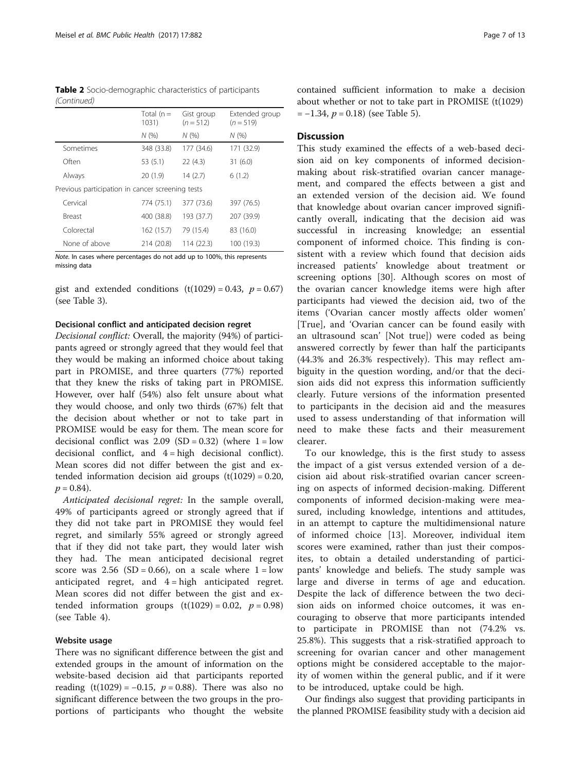Table 2 Socio-demographic characteristics of participants (Continued)

|                                                  | Total $(n =$<br>1031) | Gist group<br>$(n = 512)$ | Extended group<br>$(n = 519)$ |
|--------------------------------------------------|-----------------------|---------------------------|-------------------------------|
|                                                  | N(%)                  | N(%                       | N(%)                          |
| Sometimes                                        | 348 (33.8)            | 177 (34.6)                | 171 (32.9)                    |
| Often                                            | 53 (5.1)              | 22(4.3)                   | 31(6.0)                       |
| Always                                           | 20(1.9)               | 14(2.7)                   | 6(1.2)                        |
| Previous participation in cancer screening tests |                       |                           |                               |
| Cervical                                         | 774 (75.1)            | 377 (73.6)                | 397 (76.5)                    |
| <b>Breast</b>                                    | 400 (38.8)            | 193 (37.7)                | 207 (39.9)                    |
| Colorectal                                       | 162 (15.7)            | 79 (15.4)                 | 83 (16.0)                     |
| None of above                                    | 214 (20.8)            | 114 (22.3)                | 100 (19.3)                    |

Note. In cases where percentages do not add up to 100%, this represents missing data

gist and extended conditions  $(t(1029) = 0.43, p = 0.67)$ (see Table [3\)](#page-7-0).

# Decisional conflict and anticipated decision regret

Decisional conflict: Overall, the majority (94%) of participants agreed or strongly agreed that they would feel that they would be making an informed choice about taking part in PROMISE, and three quarters (77%) reported that they knew the risks of taking part in PROMISE. However, over half (54%) also felt unsure about what they would choose, and only two thirds (67%) felt that the decision about whether or not to take part in PROMISE would be easy for them. The mean score for decisional conflict was  $2.09$  (SD = 0.32) (where  $1 =$  low decisional conflict, and  $4 =$  high decisional conflict). Mean scores did not differ between the gist and extended information decision aid groups  $(t(1029) = 0.20$ ,  $p = 0.84$ ).

Anticipated decisional regret: In the sample overall, 49% of participants agreed or strongly agreed that if they did not take part in PROMISE they would feel regret, and similarly 55% agreed or strongly agreed that if they did not take part, they would later wish they had. The mean anticipated decisional regret score was  $2.56$  (SD = 0.66), on a scale where  $1 = \text{low}$ anticipated regret, and  $4 = high$  anticipated regret. Mean scores did not differ between the gist and extended information groups  $(t(1029) = 0.02, p = 0.98)$ (see Table [4\)](#page-9-0).

# Website usage

There was no significant difference between the gist and extended groups in the amount of information on the website-based decision aid that participants reported reading  $(t(1029) = -0.15, p = 0.88)$ . There was also no significant difference between the two groups in the proportions of participants who thought the website

contained sufficient information to make a decision about whether or not to take part in PROMISE (t(1029)  $= -1.34$ ,  $p = 0.18$ ) (see Table [5\)](#page-10-0).

# **Discussion**

This study examined the effects of a web-based decision aid on key components of informed decisionmaking about risk-stratified ovarian cancer management, and compared the effects between a gist and an extended version of the decision aid. We found that knowledge about ovarian cancer improved significantly overall, indicating that the decision aid was successful in increasing knowledge; an essential component of informed choice. This finding is consistent with a review which found that decision aids increased patients' knowledge about treatment or screening options [[30](#page-12-0)]. Although scores on most of the ovarian cancer knowledge items were high after participants had viewed the decision aid, two of the items ('Ovarian cancer mostly affects older women' [True], and 'Ovarian cancer can be found easily with an ultrasound scan' [Not true]) were coded as being answered correctly by fewer than half the participants (44.3% and 26.3% respectively). This may reflect ambiguity in the question wording, and/or that the decision aids did not express this information sufficiently clearly. Future versions of the information presented to participants in the decision aid and the measures used to assess understanding of that information will need to make these facts and their measurement clearer.

To our knowledge, this is the first study to assess the impact of a gist versus extended version of a decision aid about risk-stratified ovarian cancer screening on aspects of informed decision-making. Different components of informed decision-making were measured, including knowledge, intentions and attitudes, in an attempt to capture the multidimensional nature of informed choice [[13](#page-11-0)]. Moreover, individual item scores were examined, rather than just their composites, to obtain a detailed understanding of participants' knowledge and beliefs. The study sample was large and diverse in terms of age and education. Despite the lack of difference between the two decision aids on informed choice outcomes, it was encouraging to observe that more participants intended to participate in PROMISE than not (74.2% vs. 25.8%). This suggests that a risk-stratified approach to screening for ovarian cancer and other management options might be considered acceptable to the majority of women within the general public, and if it were to be introduced, uptake could be high.

Our findings also suggest that providing participants in the planned PROMISE feasibility study with a decision aid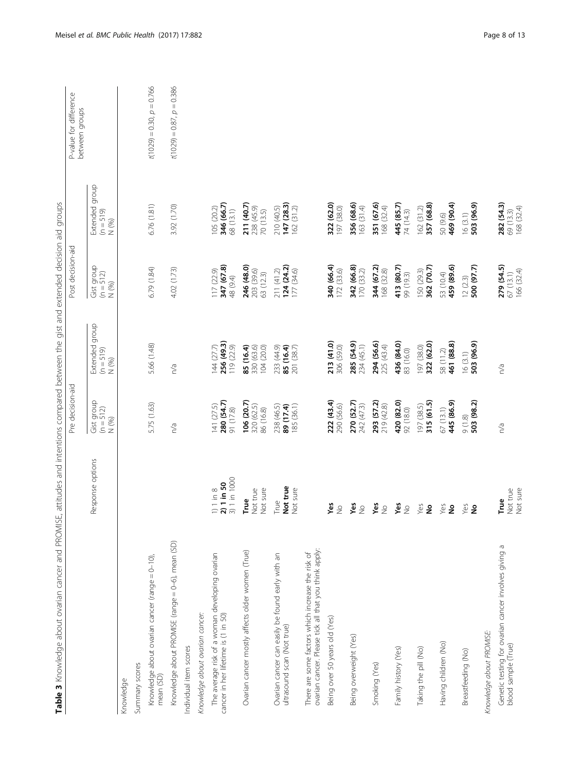<span id="page-7-0"></span>

| Table 3 Knowledge about ovarian cancer and PROMISE, attitudes and intentions compared between the gist and extended decision aid groups |                                                       |                                         |                                        |                                          |                                         |                                          |
|-----------------------------------------------------------------------------------------------------------------------------------------|-------------------------------------------------------|-----------------------------------------|----------------------------------------|------------------------------------------|-----------------------------------------|------------------------------------------|
|                                                                                                                                         |                                                       | Pre decision-aid                        |                                        | Post decision-aid                        |                                         | P-value for difference<br>between groups |
|                                                                                                                                         | Response options                                      | Gist group<br>$(n = 512)$<br>N (%)      | Extended group<br>$(n = 519)$<br>N (%) | Gist group<br>$(n = 512)$<br>N(96)       | Extended group<br>$(n = 519)$<br>N (%)  |                                          |
| Knowledge                                                                                                                               |                                                       |                                         |                                        |                                          |                                         |                                          |
| Summary scores                                                                                                                          |                                                       |                                         |                                        |                                          |                                         |                                          |
| Knowledge about ovarian cancer (range = 0-10),<br>mean (SD)                                                                             |                                                       | 5.75 (1.63)                             | 5.66 (1.48)                            | 6.79(1.84)                               | 6.76(1.81)                              | $t(1029) = 0.30$ , $p = 0.766$           |
| Knowledge about PROMISE (range = 0-6), mean (SD)                                                                                        |                                                       | n/a                                     | $\frac{a}{a}$                          | 4.02 (1.73)                              | 3.92 (1.70)                             | $t(1029) = 0.87$ , $p = 0.386$           |
| Individual item scores                                                                                                                  |                                                       |                                         |                                        |                                          |                                         |                                          |
| Knowledge about ovarian cancer:                                                                                                         |                                                       |                                         |                                        |                                          |                                         |                                          |
| The average risk of a woman developing ovarian<br>cancer in her lifetime is (1 in 50)                                                   | 3) 1 in 1000<br>$\frac{1}{2}$ ) 1 in 50<br>2) 1 in 50 | $280(54.7)$<br>91 (17.8)<br>(41 (27.5)  | 256 (49.3)<br>144 (27.7)<br>119 (22.9) | 347 (67.8)<br>17 (22.9)<br>48 (9.4)      | 346 (66.7)<br>105 (20.2)<br>68 (13.1)   |                                          |
| Ovarian cancer mostly affects older women (True)                                                                                        | Not sure<br>Not true<br>True                          | $106(20.7)$<br>$320(62.5)$<br>86 (16.8) | 85 (16.4)<br>330 (63.6)<br>104 (20.0)  | 246 (48.0)<br>203 (39.6)<br>63 (12.3)    | 211 (40.7)<br>238 (45.9)<br>70 (13.5)   |                                          |
| Ovarian cancer can easily be found early with an<br>ultrasound scan (Not true)                                                          | Not true<br>Not sure<br>True                          | 238 (46.5)<br>185 (36.1)<br>89 (17.4)   | 233 (44.9)<br>201 (38.7)<br>85 (16.4)  | $124(24.2)$<br>$177(34.6)$<br>211 (41.2) | 147 (28.3)<br>210 (40.5)<br>162(31.2)   |                                          |
| ovarian cancer. Please tick all that you think apply:<br>There are some factors which increase the risk of                              |                                                       |                                         |                                        |                                          |                                         |                                          |
| Being over 50 years old (Yes)                                                                                                           | yes<br>$\frac{1}{2}$                                  | 222 (43.4)<br>290 (56.6)                | 213 (41.0)<br>306 (59.0)               | 340 (66.4)<br>172 (33.6)                 | 322 (62.0)<br>197 (38.0)                |                                          |
| Being overweight (Yes)                                                                                                                  | Yes<br>$\frac{1}{2}$                                  | 270 (52.7)<br>242 (47.3)                | 285 (54.9)<br>234 (45.1)               | 342 (66.8)<br>170 (33.2)                 | 356 (68.6)<br>163 (31.4)                |                                          |
| Smoking (Yes)                                                                                                                           | Yes<br>$\frac{1}{2}$                                  | 293 (57.2)<br>219 (42.8)                | 294 (56.6)<br>225 (43.4)               | 344 (67.2)<br>168 (32.8)                 | 351 (67.6)<br>168 (32.4)                |                                          |
| Family history (Yes)                                                                                                                    | Yes<br>$\frac{1}{2}$                                  | 420 (82.0)<br>92 (18.0)                 | 436 (84.0)<br>83 (16.0)                | 413 (80.7)<br>99 (193)                   | 445 (85.7)<br>74 (14.3)                 |                                          |
| Taking the pill (No)                                                                                                                    | Yes<br>$\frac{1}{2}$                                  | 315 (61.5)<br>197 (38.5)                | 322 (62.0)<br>197 (38.0)               | 362 (70.7)<br>150 (29.3)                 | 357 (68.8)<br>162(31.2)                 |                                          |
| Having children (No)                                                                                                                    | Yes<br>å                                              | 445 (86.9)<br>67(13.1)                  | 461 (88.8)<br>58 (11.2)                | 53 (10.4)<br><b>459 (89.6)</b>           | 469 (90.4)<br>50 (9.6)                  |                                          |
| Breastfeeding (No)                                                                                                                      | Yes<br>$\frac{1}{2}$                                  | 503 (98.2)<br>9(1.8)                    | 503 (96.9)<br>16(3.1)                  | 500 (97.7)<br>12(2.3)                    | 503 (96.9)<br>16(3.1)                   |                                          |
| Knowledge about PROMISE:                                                                                                                |                                                       |                                         |                                        |                                          |                                         |                                          |
| $\sigma$<br>Genetic testing for ovarian cancer involves giving<br>blood sample (True)                                                   | Not sure<br>Not true<br>True                          | n/a                                     | n/a                                    | $279(54.5)$<br>$67(13.1)$<br>166 (32.4)  | $282(54.3)$<br>$69(13.3)$<br>168 (32.4) |                                          |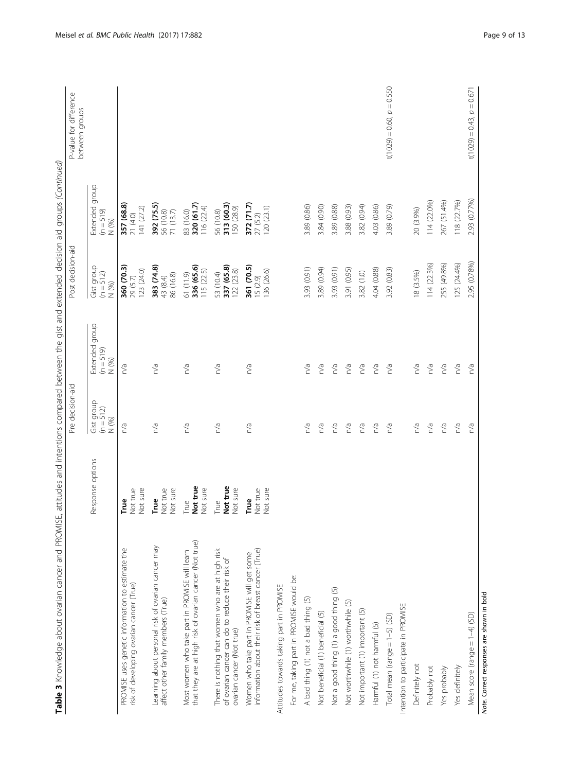|                                                                                                                                   |                              | Pre decision-aid                   |                                          | Post decision-aid                     |                                           | P-value for difference<br>between groups |
|-----------------------------------------------------------------------------------------------------------------------------------|------------------------------|------------------------------------|------------------------------------------|---------------------------------------|-------------------------------------------|------------------------------------------|
|                                                                                                                                   | Response options             | Gist group<br>$(n = 512)$<br>N (%) | Extended group<br>$(n = 519)$<br>$N$ (%) | Gist group<br>$(n = 512)$<br>N (%)    | qroup<br>Extended<br>$(n = 519)$<br>N (%) |                                          |
| PROMISE uses genetic information to estimate the<br>risk of developing ovarian cancer (True)                                      | Not sure<br>Not true<br>True | n/a                                | n/a                                      | 360 (70.3)<br>123 (24.0)<br>29 (5.7)  | 357 (68.8)<br>141 (27.2)<br>21 (4.0)      |                                          |
| Learning about personal risk of ovarian cancer may<br>affect other family members (True)                                          | Not sure<br>Not true<br>True | n/a                                | $\sqrt{a}$                               | 383 (74.8)<br>86 (16.8)<br>43 (8.4)   | 392 (75.5)<br>56 (10.8)<br>71(13.7)       |                                          |
| that they are at high risk of ovarian cancer (Not true)<br>Most women who take part in PROMISE will learn                         | Not true<br>Not sure<br>True | n/a                                | n/a                                      | 336 (65.6)<br>115 (22.5)<br>61 (11.9) | 320 (61.7)<br>116 (22.4)<br>83 (16.0)     |                                          |
| There is nothing that women who are at high risk<br>of ovarian cancer can do to reduce their risk of<br>ovarian cancer (Not true) | Not true<br>Not sure<br>True | n/a                                | n/a                                      | 337 (65.8)<br>122 (23.8)<br>53 (10.4) | 313 (60.3)<br>150 (28.9)<br>56 (10.8)     |                                          |
| information about their risk of breast cancer (True)<br>Women who take part in PROMISE will get some                              | Not sure<br>Not true<br>True | n/a                                | n/a                                      | 361 (70.5)<br>136 (26.6)<br>15 (2.9)  | 372 (71.7)<br>120(23.1)<br>27(5.2)        |                                          |
| Attitudes towards taking part in PROMISE                                                                                          |                              |                                    |                                          |                                       |                                           |                                          |
| For me, taking part in PROMISE would be:                                                                                          |                              |                                    |                                          |                                       |                                           |                                          |
| A bad thing (1) not a bad thing (5)                                                                                               |                              | n/a                                | n/a                                      | 3.93 (0.91)                           | 3.89 (0.86)                               |                                          |
| Not beneficial (1) beneficial (5)                                                                                                 |                              | n/a                                | n/a                                      | 3.89 (0.94)                           | 3.84 (0.90)                               |                                          |
| Not a good thing (1) a good thing (5)                                                                                             |                              | n/a                                | n/a                                      | 3.93 (0.91)                           | 3.89 (0.88)                               |                                          |
| Not worthwhile (1) worthwhile (5)                                                                                                 |                              | n/a                                | n/a                                      | (0.95)<br>3.91                        | 3.88 (0.93)                               |                                          |
| Not important (1) important (5)                                                                                                   |                              | n/a                                | n/a                                      | 3.82 (1.0)                            | 3.82 (0.94)                               |                                          |
| Harmful (1) not harmful (5)                                                                                                       |                              | n/a                                | n/a                                      | 4.04 (0.88)                           | 4.03 (0.86)                               |                                          |
| Total mean (range = 1-5) (SD)                                                                                                     |                              | n/a                                | n/a                                      | 3.92 (0.83)                           | 3.89 (0.79)                               | $t(1029) = 0.60$ , $p = 0.550$           |
| Intention to participate in PROMISE                                                                                               |                              |                                    |                                          |                                       |                                           |                                          |
| Definitely not                                                                                                                    |                              | n/a                                | n/a                                      | $(3.5\%)$                             | 20 (3.9%)                                 |                                          |
| Probably not                                                                                                                      |                              | n/a                                | n/a                                      | 114 (22.3%)                           | 114 (22.0%)                               |                                          |
| Yes probably                                                                                                                      |                              | n/a                                | n/a                                      | 255 (49.8%)                           | 267 (51.4%)                               |                                          |
| Yes definitely                                                                                                                    |                              | n/a                                | n/a                                      | 125 (24.4%)                           | 118 (22.7%)                               |                                          |
| Mean score (range $= 1-4$ ) (SD)                                                                                                  |                              | n/a                                | n/a                                      | 2.95 (0.78%)                          | 2.93 (0.77%)                              | $t(1029) = 0.43$ , $p = 0.671$           |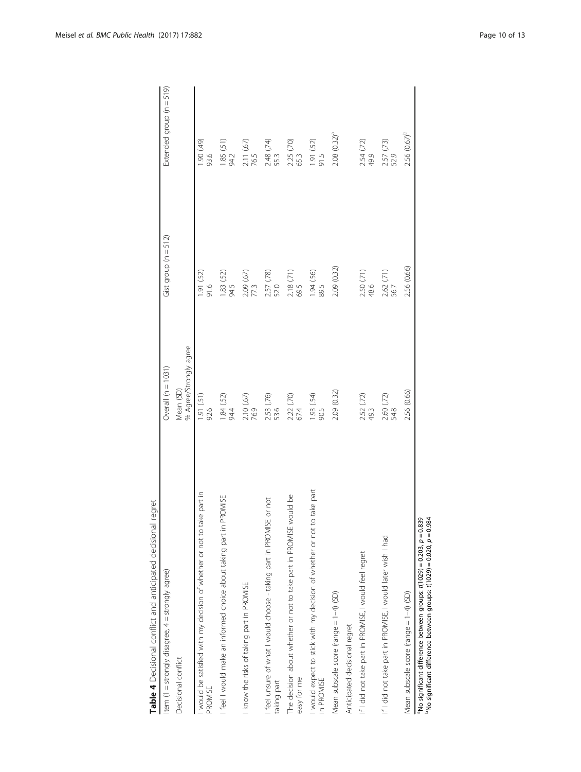<span id="page-9-0"></span>

| Item (1 = strongly disagree, 4 = strongly agree)                                                                                                                           | Overall $(n = 1031)$                | Gist group ( $n = 512$ ) | Extended group ( $n = 519$ ) |
|----------------------------------------------------------------------------------------------------------------------------------------------------------------------------|-------------------------------------|--------------------------|------------------------------|
| Decisional conflict                                                                                                                                                        | Mean (SD)<br>% Agree/Strongly agree |                          |                              |
| I would be satisfied with my decision of whether or not to take part in<br>PROMISE                                                                                         | $1.91(.51)$<br>92.6                 | $1.91(52)$<br>91.6       | 1.90 (.49)<br>93.6           |
| PROMISE<br>I feel I would make an informed choice about taking part in                                                                                                     | $1.84(52)$<br>94.4                  | 1.83 (.52)<br>94.5       | $1.85(51)$<br>94.2           |
| know the risks of taking part in PROMISE                                                                                                                                   | 2.10 (.67)<br>76.9                  | 2.09 (.67)<br>77.3       | 2.11 (.67)<br>76.5           |
| feel unsure of what I would choose - taking part in PROMISE or not<br>taking part                                                                                          | 2.53 (.76)<br>53.6                  | 2.57 (.78)<br>52.0       | 2.48 (.74)<br>55.3           |
| The decision about whether or not to take part in PROMISE would be<br>easy for me                                                                                          | 2.22 (.70)<br>67.4                  | 2.18 (.71)<br>69.5       | 2.25 (.70)<br>65.3           |
| I would expect to stick with my decision of whether or not to take part<br>in PROMISE                                                                                      | $1.93(54)$<br>90.5                  | 1.94 (.56)<br>89.5       | $1.91(.52)$<br>91.5          |
| Mean subscale score (range = 1-4) (SD)                                                                                                                                     | 2.09 (0.32)                         | 2.09 (0.32)              | $2.08 (0.32)^{a}$            |
| Anticipated decisional regret                                                                                                                                              |                                     |                          |                              |
| If I did not take part in PROMISE, I would feel regret                                                                                                                     | 2.52 (.72)<br>49.3                  | 2.50 (.71)<br>48.6       | 2.54 (.72)<br>49.9           |
| If I did not take part in PROMISE, I would later wish I had                                                                                                                | 2.60 (.72)<br>54.8                  | 2.62 (.71)<br>56.7       | 2.57 (.73)<br>52.9           |
| Mean subscale score (range = 1-4) (SD)                                                                                                                                     | 2.56 (0.66)                         | 2.56 (0.66)              | $2.56 (0.67)^b$              |
| <sup>a</sup> No significant difference between groups: t(1029) = 0.203, $p$ = 0.839<br><sup>b</sup> No significant difference between groups: t(1029) = 0.020, $p$ = 0.984 |                                     |                          |                              |

Table 4 Decisional conflict and anticipated decisional regret Table 4 Decisional conflict and anticipated decisional regret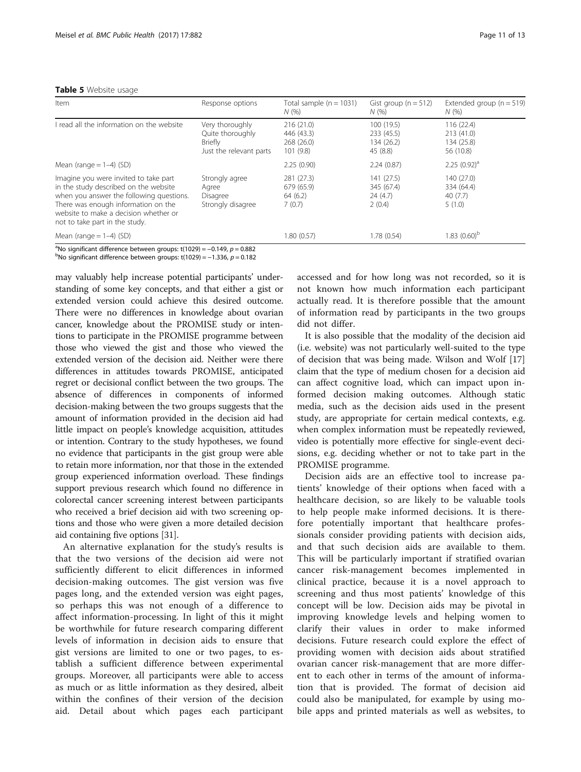# <span id="page-10-0"></span>Table 5 Website usage

| Item                                                                                                                                                                                                                                         | Response options                                                                 | Total sample $(n = 1031)$<br>N(%                   | Gist group ( $n = 512$ )<br>N(%                 | Extended group ( $n = 519$ )<br>N(% )              |
|----------------------------------------------------------------------------------------------------------------------------------------------------------------------------------------------------------------------------------------------|----------------------------------------------------------------------------------|----------------------------------------------------|-------------------------------------------------|----------------------------------------------------|
| read all the information on the website                                                                                                                                                                                                      | Very thoroughly<br>Quite thoroughly<br><b>Briefly</b><br>Just the relevant parts | 216 (21.0)<br>446 (43.3)<br>268 (26.0)<br>101(9.8) | 100(19.5)<br>233(45.5)<br>134 (26.2)<br>45(8.8) | 116(22.4)<br>213 (41.0)<br>134 (25.8)<br>56 (10.8) |
| Mean (range $= 1-4$ ) (SD)                                                                                                                                                                                                                   |                                                                                  | 2.25(0.90)                                         | 2.24(0.87)                                      | $2.25(0.92)^a$                                     |
| Imagine you were invited to take part<br>in the study described on the website<br>when you answer the following questions.<br>There was enough information on the<br>website to make a decision whether or<br>not to take part in the study. | Strongly agree<br>Agree<br>Disagree<br>Strongly disagree                         | 281 (27.3)<br>679 (65.9)<br>64(6.2)<br>7(0.7)      | 141 (27.5)<br>345 (67.4)<br>24(4.7)<br>2(0.4)   | 140 (27.0)<br>334 (64.4)<br>40(7.7)<br>5(1.0)      |
| Mean (range $= 1-4$ ) (SD)                                                                                                                                                                                                                   |                                                                                  | 1.80(0.57)                                         | 1.78(0.54)                                      | 1.83 (0.60) <sup>b</sup>                           |

<sup>a</sup>No significant difference between groups: t(1029) = -0.149, p = 0.882<br><sup>b</sup>No significant difference between groups: t(1020) = -1.226, p = 0.123

<sup>b</sup>No significant difference between groups: t(1029) = -1.336, p = 0.182

may valuably help increase potential participants' understanding of some key concepts, and that either a gist or extended version could achieve this desired outcome. There were no differences in knowledge about ovarian cancer, knowledge about the PROMISE study or intentions to participate in the PROMISE programme between those who viewed the gist and those who viewed the extended version of the decision aid. Neither were there differences in attitudes towards PROMISE, anticipated regret or decisional conflict between the two groups. The absence of differences in components of informed decision-making between the two groups suggests that the amount of information provided in the decision aid had little impact on people's knowledge acquisition, attitudes or intention. Contrary to the study hypotheses, we found no evidence that participants in the gist group were able to retain more information, nor that those in the extended group experienced information overload. These findings support previous research which found no difference in colorectal cancer screening interest between participants who received a brief decision aid with two screening options and those who were given a more detailed decision aid containing five options [\[31\]](#page-12-0).

An alternative explanation for the study's results is that the two versions of the decision aid were not sufficiently different to elicit differences in informed decision-making outcomes. The gist version was five pages long, and the extended version was eight pages, so perhaps this was not enough of a difference to affect information-processing. In light of this it might be worthwhile for future research comparing different levels of information in decision aids to ensure that gist versions are limited to one or two pages, to establish a sufficient difference between experimental groups. Moreover, all participants were able to access as much or as little information as they desired, albeit within the confines of their version of the decision aid. Detail about which pages each participant accessed and for how long was not recorded, so it is not known how much information each participant actually read. It is therefore possible that the amount of information read by participants in the two groups did not differ.

It is also possible that the modality of the decision aid (i.e. website) was not particularly well-suited to the type of decision that was being made. Wilson and Wolf [[17](#page-11-0)] claim that the type of medium chosen for a decision aid can affect cognitive load, which can impact upon informed decision making outcomes. Although static media, such as the decision aids used in the present study, are appropriate for certain medical contexts, e.g. when complex information must be repeatedly reviewed, video is potentially more effective for single-event decisions, e.g. deciding whether or not to take part in the PROMISE programme.

Decision aids are an effective tool to increase patients' knowledge of their options when faced with a healthcare decision, so are likely to be valuable tools to help people make informed decisions. It is therefore potentially important that healthcare professionals consider providing patients with decision aids, and that such decision aids are available to them. This will be particularly important if stratified ovarian cancer risk-management becomes implemented in clinical practice, because it is a novel approach to screening and thus most patients' knowledge of this concept will be low. Decision aids may be pivotal in improving knowledge levels and helping women to clarify their values in order to make informed decisions. Future research could explore the effect of providing women with decision aids about stratified ovarian cancer risk-management that are more different to each other in terms of the amount of information that is provided. The format of decision aid could also be manipulated, for example by using mobile apps and printed materials as well as websites, to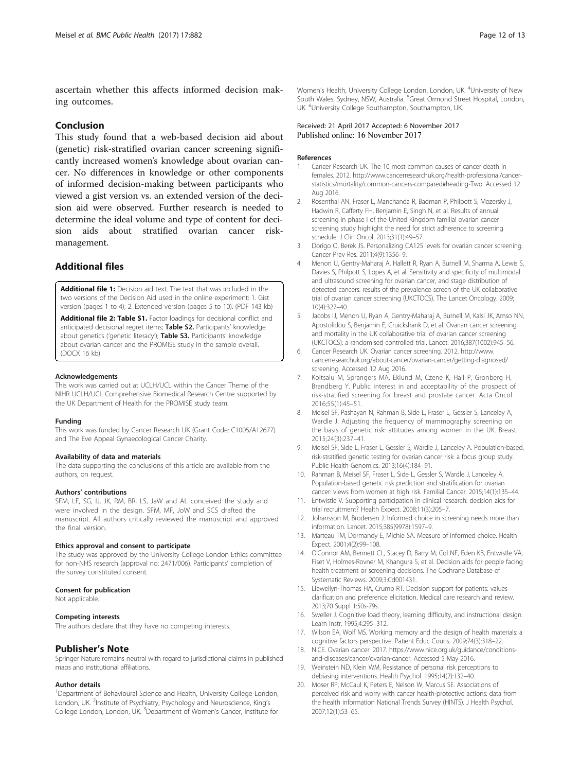<span id="page-11-0"></span>ascertain whether this affects informed decision making outcomes.

### Conclusion

This study found that a web-based decision aid about (genetic) risk-stratified ovarian cancer screening significantly increased women's knowledge about ovarian cancer. No differences in knowledge or other components of informed decision-making between participants who viewed a gist version vs. an extended version of the decision aid were observed. Further research is needed to determine the ideal volume and type of content for decision aids about stratified ovarian cancer riskmanagement.

# Additional files

[Additional file 1:](dx.doi.org/10.1186/s12889-017-4889-0) Decision aid text. The text that was included in the two versions of the Decision Aid used in the online experiment: 1. Gist version (pages 1 to 4); 2. Extended version (pages 5 to 10). (PDF 143 kb)

[Additional file 2: Table S1.](dx.doi.org/10.1186/s12889-017-4889-0) Factor loadings for decisional conflict and anticipated decisional regret items; Table S2. Participants' knowledge about genetics ('genetic literacy'); Table S3. Participants' knowledge about ovarian cancer and the PROMISE study in the sample overall. (DOCX 16 kb)

#### Acknowledgements

This work was carried out at UCLH/UCL within the Cancer Theme of the NIHR UCLH/UCL Comprehensive Biomedical Research Centre supported by the UK Department of Health for the PROMISE study team.

#### Funding

This work was funded by Cancer Research UK (Grant Code: C1005/A12677) and The Eve Appeal Gynaecological Cancer Charity.

#### Availability of data and materials

The data supporting the conclusions of this article are available from the authors, on request.

#### Authors' contributions

SFM, LF, SG, IJ, JK, RM, BR, LS, JaW and AL conceived the study and were involved in the design. SFM, MF, JoW and SCS drafted the manuscript. All authors critically reviewed the manuscript and approved the final version.

#### Ethics approval and consent to participate

The study was approved by the University College London Ethics committee for non-NHS research (approval no: 2471/006). Participants' completion of the survey constituted consent.

#### Consent for publication

Not applicable.

#### Competing interests

The authors declare that they have no competing interests.

# Publisher's Note

Springer Nature remains neutral with regard to jurisdictional claims in published maps and institutional affiliations.

#### Author details

<sup>1</sup>Department of Behavioural Science and Health, University College London, London, UK. <sup>2</sup>Institute of Psychiatry, Psychology and Neuroscience, King's College London, London, UK. <sup>3</sup>Department of Women's Cancer, Institute for Women's Health, University College London, London, UK. <sup>4</sup>University of New South Wales, Sydney, NSW, Australia. <sup>5</sup>Great Ormond Street Hospital, London UK. <sup>6</sup>University College Southampton, Southampton, UK

# Received: 21 April 2017 Accepted: 6 November 2017

### References

- 1. Cancer Research UK. The 10 most common causes of cancer death in females. 2012. [http://www.cancerresearchuk.org/health-professional/cancer](http://www.cancerresearchuk.org/health-professional/cancer-statistics/mortality/common-cancers-compared#heading-Two)[statistics/mortality/common-cancers-compared#heading-Two.](http://www.cancerresearchuk.org/health-professional/cancer-statistics/mortality/common-cancers-compared#heading-Two) Accessed 12 Aug 2016.
- 2. Rosenthal AN, Fraser L, Manchanda R, Badman P, Philpott S, Mozersky J, Hadwin R, Cafferty FH, Benjamin E, Singh N, et al. Results of annual screening in phase I of the United Kingdom familial ovarian cancer screening study highlight the need for strict adherence to screening schedule. J Clin Oncol. 2013;31(1):49–57.
- 3. Dorigo O, Berek JS. Personalizing CA125 levels for ovarian cancer screening. Cancer Prev Res. 2011;4(9):1356–9.
- 4. Menon U, Gentry-Maharaj A, Hallett R, Ryan A, Burnell M, Sharma A, Lewis S, Davies S, Philpott S, Lopes A, et al. Sensitivity and specificity of multimodal and ultrasound screening for ovarian cancer, and stage distribution of detected cancers: results of the prevalence screen of the UK collaborative trial of ovarian cancer screening (UKCTOCS). The Lancet Oncology. 2009; 10(4):327–40.
- 5. Jacobs IJ, Menon U, Ryan A, Gentry-Maharaj A, Burnell M, Kalsi JK, Amso NN, Apostolidou S, Benjamin E, Cruickshank D, et al. Ovarian cancer screening and mortality in the UK collaborative trial of ovarian cancer screening (UKCTOCS): a randomised controlled trial. Lancet. 2016;387(1002):945–56.
- 6. Cancer Research UK. Ovarian cancer screening. 2012. [http://www.](http://www.cancerresearchuk.org/about-cancer/ovarian-cancer/getting-diagnosed/screening) [cancerresearchuk.org/about-cancer/ovarian-cancer/getting-diagnosed/](http://www.cancerresearchuk.org/about-cancer/ovarian-cancer/getting-diagnosed/screening) [screening](http://www.cancerresearchuk.org/about-cancer/ovarian-cancer/getting-diagnosed/screening). Accessed 12 Aug 2016.
- 7. Koitsalu M, Sprangers MA, Eklund M, Czene K, Hall P, Gronberg H, Brandberg Y. Public interest in and acceptability of the prospect of risk-stratified screening for breast and prostate cancer. Acta Oncol. 2016;55(1):45–51.
- 8. Meisel SF, Pashayan N, Rahman B, Side L, Fraser L, Gessler S, Lanceley A, Wardle J. Adjusting the frequency of mammography screening on the basis of genetic risk: attitudes among women in the UK. Breast. 2015;24(3):237–41.
- 9. Meisel SF, Side L, Fraser L, Gessler S, Wardle J, Lanceley A. Population-based, risk-stratified genetic testing for ovarian cancer risk: a focus group study. Public Health Genomics. 2013;16(4):184–91.
- 10. Rahman B, Meisel SF, Fraser L, Side L, Gessler S, Wardle J, Lanceley A. Population-based genetic risk prediction and stratification for ovarian cancer: views from women at high risk. Familial Cancer. 2015;14(1):135–44.
- 11. Entwistle V. Supporting participation in clinical research: decision aids for trial recruitment? Health Expect. 2008;11(3):205–7.
- 12. Johansson M, Brodersen J. Informed choice in screening needs more than information. Lancet. 2015;385(9978):1597–9.
- 13. Marteau TM, Dormandy E, Michie SA. Measure of informed choice. Health Expect. 2001;4(2):99–108.
- 14. O'Connor AM, Bennett CL, Stacey D, Barry M, Col NF, Eden KB, Entwistle VA, Fiset V, Holmes-Rovner M, Khangura S, et al. Decision aids for people facing health treatment or screening decisions. The Cochrane Database of Systematic Reviews. 2009;3:Cd001431.
- 15. Llewellyn-Thomas HA, Crump RT. Decision support for patients: values clarification and preference elicitation. Medical care research and review. 2013;70 Suppl 1:50s-79s.
- 16. Sweller J. Cognitive load theory, learning difficulty, and instructional design. Learn Instr. 1995;4:295–312.
- 17. Wilson EA, Wolf MS. Working memory and the design of health materials: a cognitive factors perspective. Patient Educ Couns. 2009;74(3):318–22.
- 18. NICE. Ovarian cancer. 2017. [https://www.nice.org.uk/guidance/conditions](https://www.nice.org.uk/guidance/conditions-and-diseases/cancer/ovarian-cancer)[and-diseases/cancer/ovarian-cancer.](https://www.nice.org.uk/guidance/conditions-and-diseases/cancer/ovarian-cancer) Accessed 5 May 2016.
- 19. Weinstein ND, Klein WM. Resistance of personal risk perceptions to debiasing interventions. Health Psychol. 1995;14(2):132–40.
- 20. Moser RP, McCaul K, Peters E, Nelson W, Marcus SE. Associations of perceived risk and worry with cancer health-protective actions: data from the health information National Trends Survey (HINTS). J Health Psychol. 2007;12(1):53–65.